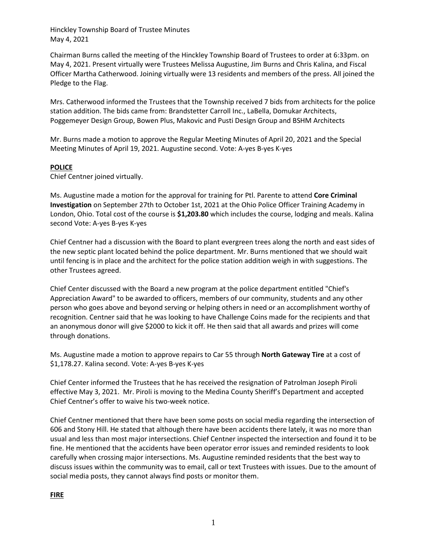Chairman Burns called the meeting of the Hinckley Township Board of Trustees to order at 6:33pm. on May 4, 2021. Present virtually were Trustees Melissa Augustine, Jim Burns and Chris Kalina, and Fiscal Officer Martha Catherwood. Joining virtually were 13 residents and members of the press. All joined the Pledge to the Flag.

Mrs. Catherwood informed the Trustees that the Township received 7 bids from architects for the police station addition. The bids came from: Brandstetter Carroll Inc., LaBella, Domukar Architects, Poggemeyer Design Group, Bowen Plus, Makovic and Pusti Design Group and BSHM Architects

Mr. Burns made a motion to approve the Regular Meeting Minutes of April 20, 2021 and the Special Meeting Minutes of April 19, 2021. Augustine second. Vote: A-yes B-yes K-yes

## **POLICE**

Chief Centner joined virtually.

Ms. Augustine made a motion for the approval for training for Ptl. Parente to attend **Core Criminal Investigation** on September 27th to October 1st, 2021 at the Ohio Police Officer Training Academy in London, Ohio. Total cost of the course is **\$1,203.80** which includes the course, lodging and meals. Kalina second Vote: A-yes B-yes K-yes

Chief Centner had a discussion with the Board to plant evergreen trees along the north and east sides of the new septic plant located behind the police department. Mr. Burns mentioned that we should wait until fencing is in place and the architect for the police station addition weigh in with suggestions. The other Trustees agreed.

Chief Center discussed with the Board a new program at the police department entitled "Chief's Appreciation Award" to be awarded to officers, members of our community, students and any other person who goes above and beyond serving or helping others in need or an accomplishment worthy of recognition. Centner said that he was looking to have Challenge Coins made for the recipients and that an anonymous donor will give \$2000 to kick it off. He then said that all awards and prizes will come through donations.

Ms. Augustine made a motion to approve repairs to Car 55 through **North Gateway Tire** at a cost of \$1,178.27. Kalina second. Vote: A-yes B-yes K-yes

Chief Center informed the Trustees that he has received the resignation of Patrolman Joseph Piroli effective May 3, 2021. Mr. Piroli is moving to the Medina County Sheriff's Department and accepted Chief Centner's offer to waive his two-week notice.

Chief Centner mentioned that there have been some posts on social media regarding the intersection of 606 and Stony Hill. He stated that although there have been accidents there lately, it was no more than usual and less than most major intersections. Chief Centner inspected the intersection and found it to be fine. He mentioned that the accidents have been operator error issues and reminded residents to look carefully when crossing major intersections. Ms. Augustine reminded residents that the best way to discuss issues within the community was to email, call or text Trustees with issues. Due to the amount of social media posts, they cannot always find posts or monitor them.

## **FIRE**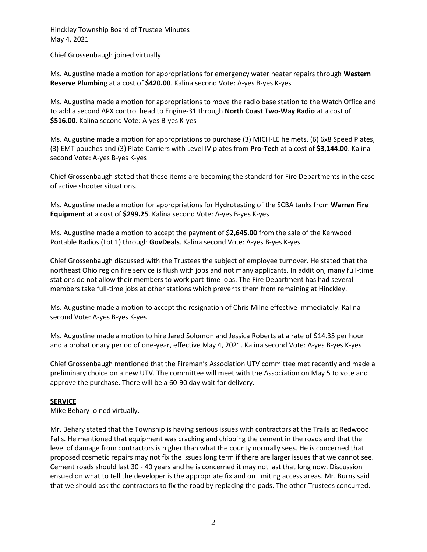Chief Grossenbaugh joined virtually.

Ms. Augustine made a motion for appropriations for emergency water heater repairs through **Western Reserve Plumbin**g at a cost of **\$420.00**. Kalina second Vote: A-yes B-yes K-yes

Ms. Augustina made a motion for appropriations to move the radio base station to the Watch Office and to add a second APX control head to Engine-31 through **North Coast Two-Way Radio** at a cost of **\$516.00**. Kalina second Vote: A-yes B-yes K-yes

Ms. Augustine made a motion for appropriations to purchase (3) MICH-LE helmets, (6) 6x8 Speed Plates, (3) EMT pouches and (3) Plate Carriers with Level IV plates from **Pro-Tech** at a cost of **\$3,144.00**. Kalina second Vote: A-yes B-yes K-yes

Chief Grossenbaugh stated that these items are becoming the standard for Fire Departments in the case of active shooter situations.

Ms. Augustine made a motion for appropriations for Hydrotesting of the SCBA tanks from **Warren Fire Equipment** at a cost of **\$299.25**. Kalina second Vote: A-yes B-yes K-yes

Ms. Augustine made a motion to accept the payment of \$**2,645.00** from the sale of the Kenwood Portable Radios (Lot 1) through **GovDeals**. Kalina second Vote: A-yes B-yes K-yes

Chief Grossenbaugh discussed with the Trustees the subject of employee turnover. He stated that the northeast Ohio region fire service is flush with jobs and not many applicants. In addition, many full-time stations do not allow their members to work part-time jobs. The Fire Department has had several members take full-time jobs at other stations which prevents them from remaining at Hinckley.

Ms. Augustine made a motion to accept the resignation of Chris Milne effective immediately. Kalina second Vote: A-yes B-yes K-yes

Ms. Augustine made a motion to hire Jared Solomon and Jessica Roberts at a rate of \$14.35 per hour and a probationary period of one-year, effective May 4, 2021. Kalina second Vote: A-yes B-yes K-yes

Chief Grossenbaugh mentioned that the Fireman's Association UTV committee met recently and made a preliminary choice on a new UTV. The committee will meet with the Association on May 5 to vote and approve the purchase. There will be a 60-90 day wait for delivery.

# **SERVICE**

Mike Behary joined virtually.

Mr. Behary stated that the Township is having serious issues with contractors at the Trails at Redwood Falls. He mentioned that equipment was cracking and chipping the cement in the roads and that the level of damage from contractors is higher than what the county normally sees. He is concerned that proposed cosmetic repairs may not fix the issues long term if there are larger issues that we cannot see. Cement roads should last 30 - 40 years and he is concerned it may not last that long now. Discussion ensued on what to tell the developer is the appropriate fix and on limiting access areas. Mr. Burns said that we should ask the contractors to fix the road by replacing the pads. The other Trustees concurred.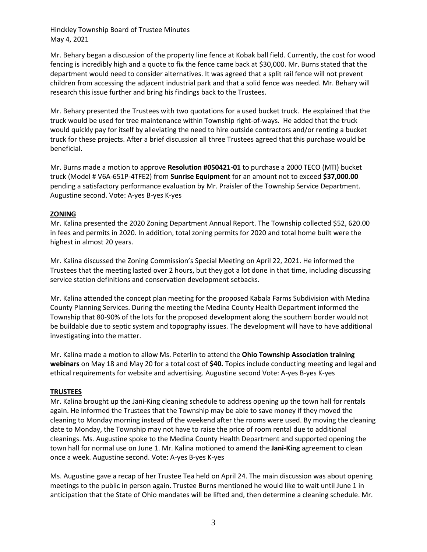Mr. Behary began a discussion of the property line fence at Kobak ball field. Currently, the cost for wood fencing is incredibly high and a quote to fix the fence came back at \$30,000. Mr. Burns stated that the department would need to consider alternatives. It was agreed that a split rail fence will not prevent children from accessing the adjacent industrial park and that a solid fence was needed. Mr. Behary will research this issue further and bring his findings back to the Trustees.

Mr. Behary presented the Trustees with two quotations for a used bucket truck. He explained that the truck would be used for tree maintenance within Township right-of-ways. He added that the truck would quickly pay for itself by alleviating the need to hire outside contractors and/or renting a bucket truck for these projects. After a brief discussion all three Trustees agreed that this purchase would be beneficial.

Mr. Burns made a motion to approve **Resolution #050421-01** to purchase a 2000 TECO (MTI) bucket truck (Model # V6A-651P-4TFE2) from **Sunrise Equipment** for an amount not to exceed **\$37,000.00** pending a satisfactory performance evaluation by Mr. Praisler of the Township Service Department. Augustine second. Vote: A-yes B-yes K-yes

## **ZONING**

Mr. Kalina presented the 2020 Zoning Department Annual Report. The Township collected \$52, 620.00 in fees and permits in 2020. In addition, total zoning permits for 2020 and total home built were the highest in almost 20 years.

Mr. Kalina discussed the Zoning Commission's Special Meeting on April 22, 2021. He informed the Trustees that the meeting lasted over 2 hours, but they got a lot done in that time, including discussing service station definitions and conservation development setbacks.

Mr. Kalina attended the concept plan meeting for the proposed Kabala Farms Subdivision with Medina County Planning Services. During the meeting the Medina County Health Department informed the Township that 80-90% of the lots for the proposed development along the southern border would not be buildable due to septic system and topography issues. The development will have to have additional investigating into the matter.

Mr. Kalina made a motion to allow Ms. Peterlin to attend the **Ohio Township Association training webinars** on May 18 and May 20 for a total cost of **\$40.** Topics include conducting meeting and legal and ethical requirements for website and advertising. Augustine second Vote: A-yes B-yes K-yes

## **TRUSTEES**

Mr. Kalina brought up the Jani-King cleaning schedule to address opening up the town hall for rentals again. He informed the Trustees that the Township may be able to save money if they moved the cleaning to Monday morning instead of the weekend after the rooms were used. By moving the cleaning date to Monday, the Township may not have to raise the price of room rental due to additional cleanings. Ms. Augustine spoke to the Medina County Health Department and supported opening the town hall for normal use on June 1. Mr. Kalina motioned to amend the **Jani-King** agreement to clean once a week. Augustine second. Vote: A-yes B-yes K-yes

Ms. Augustine gave a recap of her Trustee Tea held on April 24. The main discussion was about opening meetings to the public in person again. Trustee Burns mentioned he would like to wait until June 1 in anticipation that the State of Ohio mandates will be lifted and, then determine a cleaning schedule. Mr.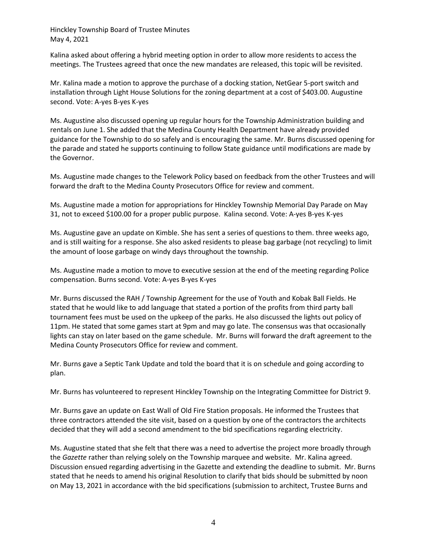Kalina asked about offering a hybrid meeting option in order to allow more residents to access the meetings. The Trustees agreed that once the new mandates are released, this topic will be revisited.

Mr. Kalina made a motion to approve the purchase of a docking station, NetGear 5-port switch and installation through Light House Solutions for the zoning department at a cost of \$403.00. Augustine second. Vote: A-yes B-yes K-yes

Ms. Augustine also discussed opening up regular hours for the Township Administration building and rentals on June 1. She added that the Medina County Health Department have already provided guidance for the Township to do so safely and is encouraging the same. Mr. Burns discussed opening for the parade and stated he supports continuing to follow State guidance until modifications are made by the Governor.

Ms. Augustine made changes to the Telework Policy based on feedback from the other Trustees and will forward the draft to the Medina County Prosecutors Office for review and comment.

Ms. Augustine made a motion for appropriations for Hinckley Township Memorial Day Parade on May 31, not to exceed \$100.00 for a proper public purpose. Kalina second. Vote: A-yes B-yes K-yes

Ms. Augustine gave an update on Kimble. She has sent a series of questions to them. three weeks ago, and is still waiting for a response. She also asked residents to please bag garbage (not recycling) to limit the amount of loose garbage on windy days throughout the township.

Ms. Augustine made a motion to move to executive session at the end of the meeting regarding Police compensation. Burns second. Vote: A-yes B-yes K-yes

Mr. Burns discussed the RAH / Township Agreement for the use of Youth and Kobak Ball Fields. He stated that he would like to add language that stated a portion of the profits from third party ball tournament fees must be used on the upkeep of the parks. He also discussed the lights out policy of 11pm. He stated that some games start at 9pm and may go late. The consensus was that occasionally lights can stay on later based on the game schedule. Mr. Burns will forward the draft agreement to the Medina County Prosecutors Office for review and comment.

Mr. Burns gave a Septic Tank Update and told the board that it is on schedule and going according to plan.

Mr. Burns has volunteered to represent Hinckley Township on the Integrating Committee for District 9.

Mr. Burns gave an update on East Wall of Old Fire Station proposals. He informed the Trustees that three contractors attended the site visit, based on a question by one of the contractors the architects decided that they will add a second amendment to the bid specifications regarding electricity.

Ms. Augustine stated that she felt that there was a need to advertise the project more broadly through the *Gazette* rather than relying solely on the Township marquee and website. Mr. Kalina agreed. Discussion ensued regarding advertising in the Gazette and extending the deadline to submit. Mr. Burns stated that he needs to amend his original Resolution to clarify that bids should be submitted by noon on May 13, 2021 in accordance with the bid specifications (submission to architect, Trustee Burns and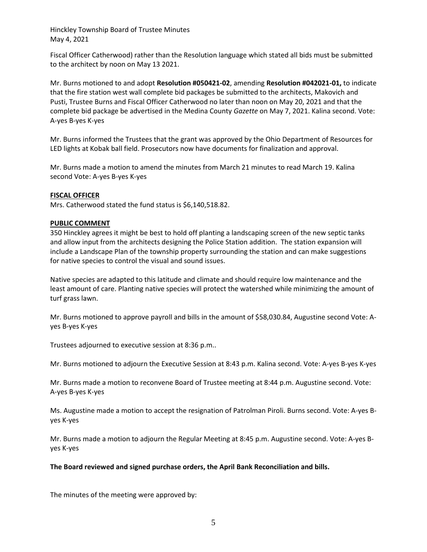Fiscal Officer Catherwood) rather than the Resolution language which stated all bids must be submitted to the architect by noon on May 13 2021.

Mr. Burns motioned to and adopt **Resolution #050421-02**, amending **Resolution #042021-01,** to indicate that the fire station west wall complete bid packages be submitted to the architects, Makovich and Pusti, Trustee Burns and Fiscal Officer Catherwood no later than noon on May 20, 2021 and that the complete bid package be advertised in the Medina County *Gazette* on May 7, 2021. Kalina second. Vote: A-yes B-yes K-yes

Mr. Burns informed the Trustees that the grant was approved by the Ohio Department of Resources for LED lights at Kobak ball field. Prosecutors now have documents for finalization and approval.

Mr. Burns made a motion to amend the minutes from March 21 minutes to read March 19. Kalina second Vote: A-yes B-yes K-yes

## **FISCAL OFFICER**

Mrs. Catherwood stated the fund status is \$6,140,518.82.

## **PUBLIC COMMENT**

350 Hinckley agrees it might be best to hold off planting a landscaping screen of the new septic tanks and allow input from the architects designing the Police Station addition. The station expansion will include a Landscape Plan of the township property surrounding the station and can make suggestions for native species to control the visual and sound issues.

Native species are adapted to this latitude and climate and should require low maintenance and the least amount of care. Planting native species will protect the watershed while minimizing the amount of turf grass lawn.

Mr. Burns motioned to approve payroll and bills in the amount of \$58,030.84, Augustine second Vote: Ayes B-yes K-yes

Trustees adjourned to executive session at 8:36 p.m..

Mr. Burns motioned to adjourn the Executive Session at 8:43 p.m. Kalina second. Vote: A-yes B-yes K-yes

Mr. Burns made a motion to reconvene Board of Trustee meeting at 8:44 p.m. Augustine second. Vote: A-yes B-yes K-yes

Ms. Augustine made a motion to accept the resignation of Patrolman Piroli. Burns second. Vote: A-yes Byes K-yes

Mr. Burns made a motion to adjourn the Regular Meeting at 8:45 p.m. Augustine second. Vote: A-yes Byes K-yes

## **The Board reviewed and signed purchase orders, the April Bank Reconciliation and bills.**

The minutes of the meeting were approved by: